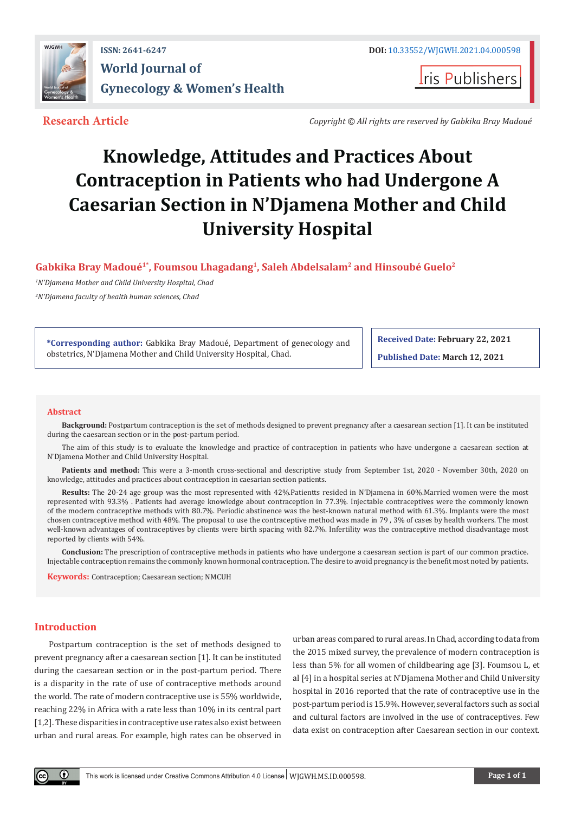

**I**ris Publishers

**Research Article** *Copyright © All rights are reserved by Gabkika Bray Madoué*

# **Knowledge, Attitudes and Practices About Contraception in Patients who had Undergone A Caesarian Section in N'Djamena Mother and Child University Hospital**

# **Gabkika Bray Madoué1\*, Foumsou Lhagadang1, Saleh Abdelsalam2 and Hinsoubé Guelo2**

*1 N'Djamena Mother and Child University Hospital, Chad*

*2 N'Djamena faculty of health human sciences, Chad*

**\*Corresponding author:** Gabkika Bray Madoué, Department of genecology and obstetrics, N'Djamena Mother and Child University Hospital, Chad.

**Received Date: February 22, 2021 Published Date: March 12, 2021**

#### **Abstract**

**Background:** Postpartum contraception is the set of methods designed to prevent pregnancy after a caesarean section [1]. It can be instituted during the caesarean section or in the post-partum period.

The aim of this study is to evaluate the knowledge and practice of contraception in patients who have undergone a caesarean section at N'Djamena Mother and Child University Hospital.

Patients and method: This were a 3-month cross-sectional and descriptive study from September 1st, 2020 - November 30th, 2020 on knowledge, attitudes and practices about contraception in caesarian section patients.

**Results:** The 20-24 age group was the most represented with 42%.Patientts resided in N'Djamena in 60%.Married women were the most represented with 93.3% . Patients had average knowledge about contraception in 77.3%. Injectable contraceptives were the commonly known of the modern contraceptive methods with 80.7%. Periodic abstinence was the best-known natural method with 61.3%. Implants were the most chosen contraceptive method with 48%. The proposal to use the contraceptive method was made in 79 , 3% of cases by health workers. The most well-known advantages of contraceptives by clients were birth spacing with 82.7%. Infertility was the contraceptive method disadvantage most reported by clients with 54%.

**Conclusion:** The prescription of contraceptive methods in patients who have undergone a caesarean section is part of our common practice. Injectable contraception remains the commonly known hormonal contraception. The desire to avoid pregnancy is the benefit most noted by patients.

**Keywords:** Contraception; Caesarean section; NMCUH

# **Introduction**

Postpartum contraception is the set of methods designed to prevent pregnancy after a caesarean section [1]. It can be instituted during the caesarean section or in the post-partum period. There is a disparity in the rate of use of contraceptive methods around the world. The rate of modern contraceptive use is 55% worldwide, reaching 22% in Africa with a rate less than 10% in its central part [1,2]. These disparities in contraceptive use rates also exist between urban and rural areas. For example, high rates can be observed in

urban areas compared to rural areas. In Chad, according to data from the 2015 mixed survey, the prevalence of modern contraception is less than 5% for all women of childbearing age [3]. Foumsou L, et al [4] in a hospital series at N'Djamena Mother and Child University hospital in 2016 reported that the rate of contraceptive use in the post-partum period is 15.9%. However, several factors such as social and cultural factors are involved in the use of contraceptives. Few data exist on contraception after Caesarean section in our context.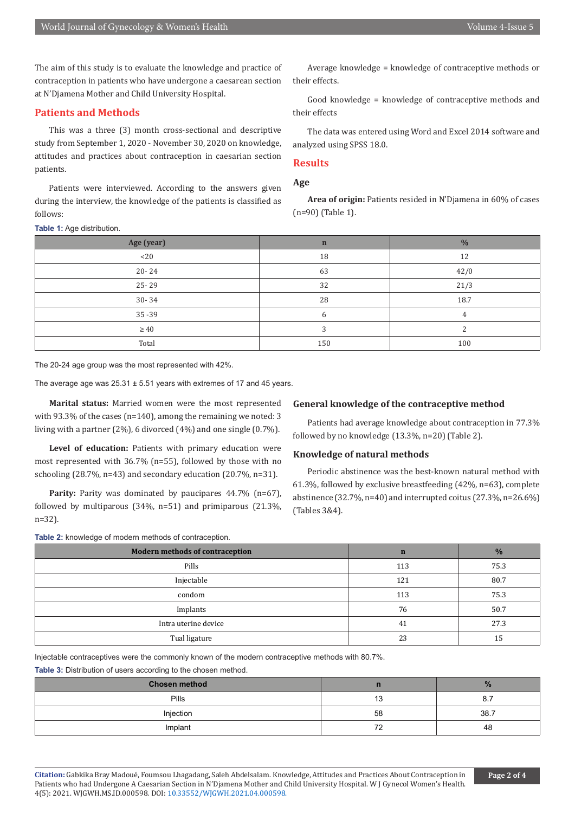The aim of this study is to evaluate the knowledge and practice of contraception in patients who have undergone a caesarean section at N'Djamena Mother and Child University Hospital.

## **Patients and Methods**

This was a three (3) month cross-sectional and descriptive study from September 1, 2020 - November 30, 2020 on knowledge, attitudes and practices about contraception in caesarian section patients.

Patients were interviewed. According to the answers given during the interview, the knowledge of the patients is classified as follows:

**Table 1:** Age distribution.

Average knowledge = knowledge of contraceptive methods or their effects.

Good knowledge = knowledge of contraceptive methods and their effects

The data was entered using Word and Excel 2014 software and analyzed using SPSS 18.0.

# **Results**

# **Age**

**Area of origin:** Patients resided in N'Djamena in 60% of cases (n=90) (Table 1).

| Age (year) | $\mathbf n$ | $\frac{0}{0}$ |
|------------|-------------|---------------|
| <20        | 18          | 12            |
| $20 - 24$  | 63          | 42/0          |
| $25 - 29$  | 32          | 21/3          |
| $30 - 34$  | 28          | 18.7          |
| $35 - 39$  |             | 4             |
| $\geq 40$  |             | ∍             |
| Total      | 150         | 100           |

The 20-24 age group was the most represented with 42%.

The average age was  $25.31 \pm 5.51$  years with extremes of 17 and 45 years.

**Marital status:** Married women were the most represented with 93.3% of the cases (n=140), among the remaining we noted: 3 living with a partner (2%), 6 divorced (4%) and one single (0.7%).

**Level of education:** Patients with primary education were most represented with 36.7% (n=55), followed by those with no schooling (28.7%, n=43) and secondary education (20.7%, n=31).

**Parity:** Parity was dominated by paucipares 44.7% (n=67). followed by multiparous (34%, n=51) and primiparous (21.3%, n=32).

**Table 2:** knowledge of modern methods of contraception.

# **General knowledge of the contraceptive method**

Patients had average knowledge about contraception in 77.3% followed by no knowledge (13.3%, n=20) (Table 2).

#### **Knowledge of natural methods**

Periodic abstinence was the best-known natural method with 61.3%, followed by exclusive breastfeeding (42%, n=63), complete abstinence (32.7%, n=40) and interrupted coitus (27.3%, n=26.6%) (Tables 3&4).

| <b>Modern methods of contraception</b> | n   | $\frac{0}{0}$ |
|----------------------------------------|-----|---------------|
| Pills                                  | 113 | 75.3          |
| Injectable                             | 121 | 80.7          |
| condom                                 | 113 | 75.3          |
| Implants                               | 76  | 50.7          |
| Intra uterine device                   | 41  | 27.3          |
| Tual ligature                          | 23  | 15            |

Injectable contraceptives were the commonly known of the modern contraceptive methods with 80.7%.

**Table 3:** Distribution of users according to the chosen method.

| <b>Chosen method</b> |                          | 70   |
|----------------------|--------------------------|------|
| <b>Pills</b>         | IJ                       | ο.   |
| Injection            | 58                       | 38.7 |
| Implant              | $\overline{\phantom{a}}$ | 48   |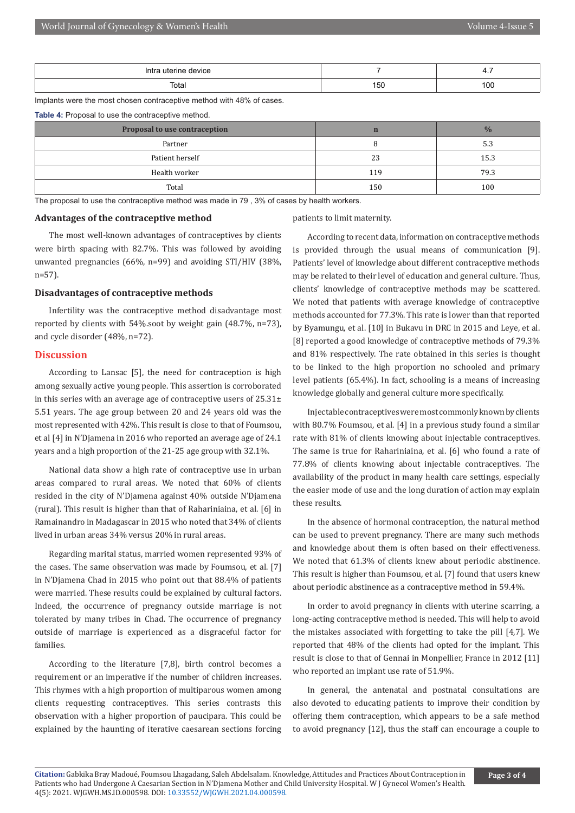| Intra uterine device |                                    |     |
|----------------------|------------------------------------|-----|
| Total                | $\overline{\phantom{a}}$<br>$\sim$ | טשו |

Implants were the most chosen contraceptive method with 48% of cases.

| <b>Table 4:</b> Proposal to use the contraceptive method. |     |               |  |
|-----------------------------------------------------------|-----|---------------|--|
| Proposal to use contraception                             | n   | $\frac{0}{0}$ |  |
| Partner                                                   |     | 5.3           |  |
| Patient herself                                           | 23  | 15.3          |  |
| Health worker                                             | 119 | 79.3          |  |
| Total                                                     | 150 | 100           |  |

The proposal to use the contraceptive method was made in 79 , 3% of cases by health workers.

#### **Advantages of the contraceptive method**

patients to limit maternity.

The most well-known advantages of contraceptives by clients were birth spacing with 82.7%. This was followed by avoiding unwanted pregnancies (66%, n=99) and avoiding STI/HIV (38%, n=57).

# **Disadvantages of contraceptive methods**

Infertility was the contraceptive method disadvantage most reported by clients with 54%.soot by weight gain (48.7%, n=73), and cycle disorder (48%, n=72).

# **Discussion**

According to Lansac [5], the need for contraception is high among sexually active young people. This assertion is corroborated in this series with an average age of contraceptive users of  $25.31\pm$ 5.51 years. The age group between 20 and 24 years old was the most represented with 42%. This result is close to that of Foumsou, et al [4] in N'Djamena in 2016 who reported an average age of 24.1 years and a high proportion of the 21-25 age group with 32.1%.

National data show a high rate of contraceptive use in urban areas compared to rural areas. We noted that 60% of clients resided in the city of N'Djamena against 40% outside N'Djamena (rural). This result is higher than that of Rahariniaina, et al. [6] in Ramainandro in Madagascar in 2015 who noted that 34% of clients lived in urban areas 34% versus 20% in rural areas.

Regarding marital status, married women represented 93% of the cases. The same observation was made by Foumsou, et al. [7] in N'Djamena Chad in 2015 who point out that 88.4% of patients were married. These results could be explained by cultural factors. Indeed, the occurrence of pregnancy outside marriage is not tolerated by many tribes in Chad. The occurrence of pregnancy outside of marriage is experienced as a disgraceful factor for families.

According to the literature [7,8], birth control becomes a requirement or an imperative if the number of children increases. This rhymes with a high proportion of multiparous women among clients requesting contraceptives. This series contrasts this observation with a higher proportion of paucipara. This could be explained by the haunting of iterative caesarean sections forcing

According to recent data, information on contraceptive methods is provided through the usual means of communication [9]. Patients' level of knowledge about different contraceptive methods may be related to their level of education and general culture. Thus, clients' knowledge of contraceptive methods may be scattered. We noted that patients with average knowledge of contraceptive methods accounted for 77.3%. This rate is lower than that reported by Byamungu, et al. [10] in Bukavu in DRC in 2015 and Leye, et al. [8] reported a good knowledge of contraceptive methods of 79.3% and 81% respectively. The rate obtained in this series is thought to be linked to the high proportion no schooled and primary level patients (65.4%). In fact, schooling is a means of increasing knowledge globally and general culture more specifically.

Injectable contraceptives were most commonly known by clients with 80.7% Foumsou, et al. [4] in a previous study found a similar rate with 81% of clients knowing about injectable contraceptives. The same is true for Rahariniaina, et al. [6] who found a rate of 77.8% of clients knowing about injectable contraceptives. The availability of the product in many health care settings, especially the easier mode of use and the long duration of action may explain these results.

In the absence of hormonal contraception, the natural method can be used to prevent pregnancy. There are many such methods and knowledge about them is often based on their effectiveness. We noted that 61.3% of clients knew about periodic abstinence. This result is higher than Foumsou, et al. [7] found that users knew about periodic abstinence as a contraceptive method in 59.4%.

In order to avoid pregnancy in clients with uterine scarring, a long-acting contraceptive method is needed. This will help to avoid the mistakes associated with forgetting to take the pill [4,7]. We reported that 48% of the clients had opted for the implant. This result is close to that of Gennai in Monpellier, France in 2012 [11] who reported an implant use rate of 51.9%.

In general, the antenatal and postnatal consultations are also devoted to educating patients to improve their condition by offering them contraception, which appears to be a safe method to avoid pregnancy [12], thus the staff can encourage a couple to